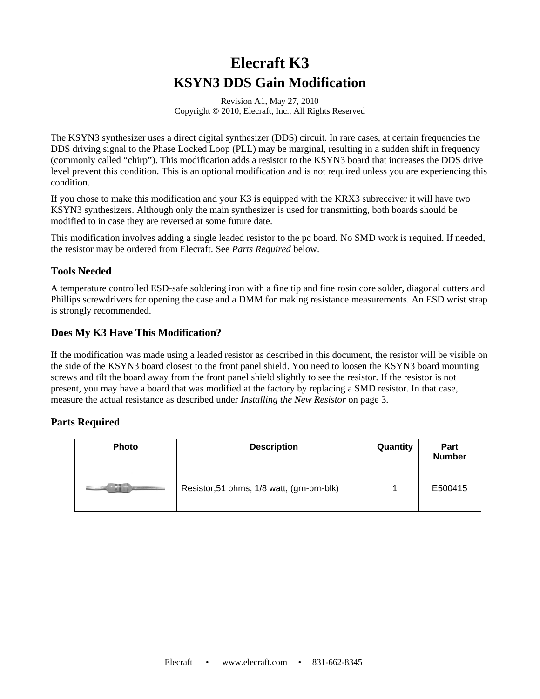# **Elecraft K3 KSYN3 DDS Gain Modification**

Revision A1, May 27, 2010 Copyright © 2010, Elecraft, Inc., All Rights Reserved

The KSYN3 synthesizer uses a direct digital synthesizer (DDS) circuit. In rare cases, at certain frequencies the DDS driving signal to the Phase Locked Loop (PLL) may be marginal, resulting in a sudden shift in frequency (commonly called "chirp"). This modification adds a resistor to the KSYN3 board that increases the DDS drive level prevent this condition. This is an optional modification and is not required unless you are experiencing this condition.

If you chose to make this modification and your K3 is equipped with the KRX3 subreceiver it will have two KSYN3 synthesizers. Although only the main synthesizer is used for transmitting, both boards should be modified to in case they are reversed at some future date.

This modification involves adding a single leaded resistor to the pc board. No SMD work is required. If needed, the resistor may be ordered from Elecraft. See *Parts Required* below.

### **Tools Needed**

A temperature controlled ESD-safe soldering iron with a fine tip and fine rosin core solder, diagonal cutters and Phillips screwdrivers for opening the case and a DMM for making resistance measurements. An ESD wrist strap is strongly recommended.

### **Does My K3 Have This Modification?**

If the modification was made using a leaded resistor as described in this document, the resistor will be visible on the side of the KSYN3 board closest to the front panel shield. You need to loosen the KSYN3 board mounting screws and tilt the board away from the front panel shield slightly to see the resistor. If the resistor is not present, you may have a board that was modified at the factory by replacing a SMD resistor. In that case, measure the actual resistance as described under *Installing the New Resistor* on page 3.

## **Parts Required**

| <b>Photo</b> | <b>Description</b>                         | Quantity | <b>Part</b><br><b>Number</b> |
|--------------|--------------------------------------------|----------|------------------------------|
|              | Resistor, 51 ohms, 1/8 watt, (grn-brn-blk) |          | E500415                      |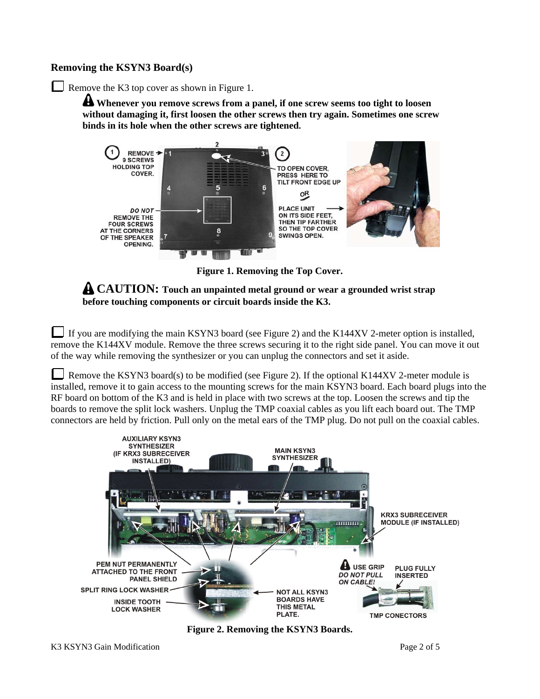#### **Removing the KSYN3 Board(s)**

Remove the K3 top cover as shown in Figure 1.

**Whenever you remove screws from a panel, if one screw seems too tight to loosen without damaging it, first loosen the other screws then try again. Sometimes one screw binds in its hole when the other screws are tightened.** 



**Figure 1. Removing the Top Cover.** 

**CAUTION: Touch an unpainted metal ground or wear a grounded wrist strap before touching components or circuit boards inside the K3.** 

If you are modifying the main KSYN3 board (see Figure 2) and the K144XV 2-meter option is installed, remove the K144XV module. Remove the three screws securing it to the right side panel. You can move it out of the way while removing the synthesizer or you can unplug the connectors and set it aside.

Remove the KSYN3 board(s) to be modified (see Figure 2). If the optional K144XV 2-meter module is installed, remove it to gain access to the mounting screws for the main KSYN3 board. Each board plugs into the RF board on bottom of the K3 and is held in place with two screws at the top. Loosen the screws and tip the boards to remove the split lock washers. Unplug the TMP coaxial cables as you lift each board out. The TMP connectors are held by friction. Pull only on the metal ears of the TMP plug. Do not pull on the coaxial cables.



**Figure 2. Removing the KSYN3 Boards.**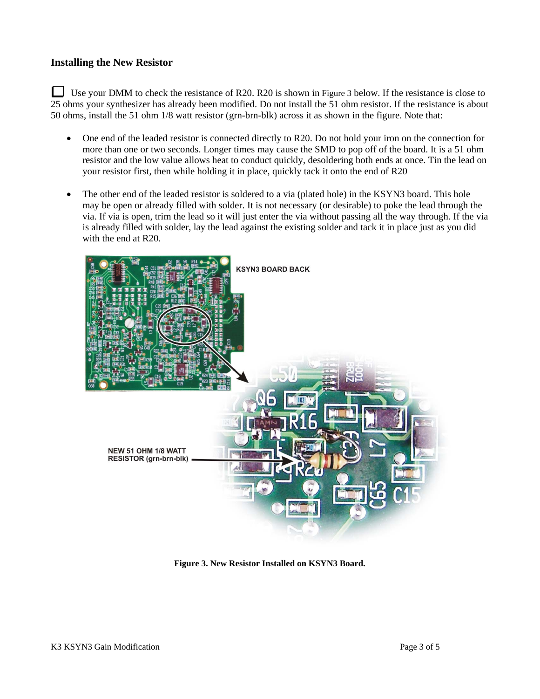#### **Installing the New Resistor**

 Use your DMM to check the resistance of R20. R20 is shown in Figure 3 below. If the resistance is close to 25 ohms your synthesizer has already been modified. Do not install the 51 ohm resistor. If the resistance is about 50 ohms, install the 51 ohm 1/8 watt resistor (grn-brn-blk) across it as shown in the figure. Note that:

- One end of the leaded resistor is connected directly to R20. Do not hold your iron on the connection for more than one or two seconds. Longer times may cause the SMD to pop off of the board. It is a 51 ohm resistor and the low value allows heat to conduct quickly, desoldering both ends at once. Tin the lead on your resistor first, then while holding it in place, quickly tack it onto the end of R20
- The other end of the leaded resistor is soldered to a via (plated hole) in the KSYN3 board. This hole may be open or already filled with solder. It is not necessary (or desirable) to poke the lead through the via. If via is open, trim the lead so it will just enter the via without passing all the way through. If the via is already filled with solder, lay the lead against the existing solder and tack it in place just as you did with the end at R20.



**Figure 3. New Resistor Installed on KSYN3 Board.**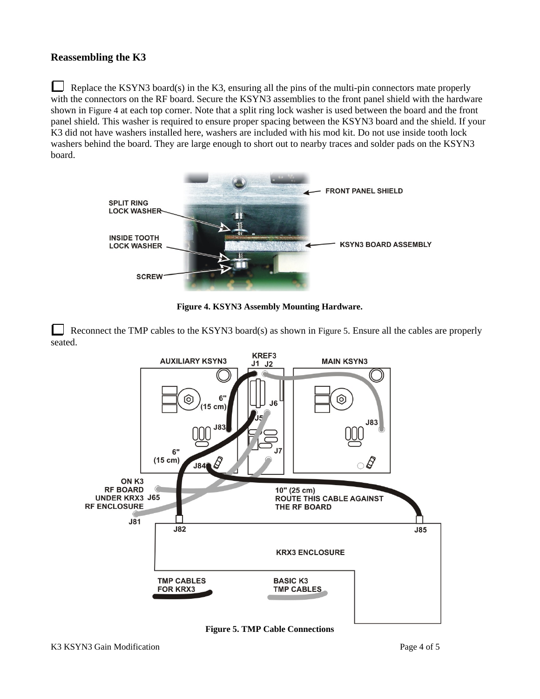#### **Reassembling the K3**

 Replace the KSYN3 board(s) in the K3, ensuring all the pins of the multi-pin connectors mate properly with the connectors on the RF board. Secure the KSYN3 assemblies to the front panel shield with the hardware shown in Figure 4 at each top corner. Note that a split ring lock washer is used between the board and the front panel shield. This washer is required to ensure proper spacing between the KSYN3 board and the shield. If your K3 did not have washers installed here, washers are included with his mod kit. Do not use inside tooth lock washers behind the board. They are large enough to short out to nearby traces and solder pads on the KSYN3 board.



**Figure 4. KSYN3 Assembly Mounting Hardware.**

Reconnect the TMP cables to the KSYN3 board(s) as shown in Figure 5. Ensure all the cables are properly seated.



**Figure 5. TMP Cable Connections**